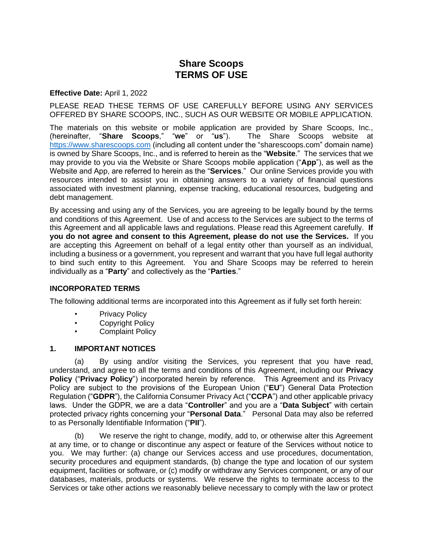# **Share Scoops TERMS OF USE**

#### **Effective Date:** April 1, 2022

PLEASE READ THESE TERMS OF USE CAREFULLY BEFORE USING ANY SERVICES OFFERED BY SHARE SCOOPS, INC., SUCH AS OUR WEBSITE OR MOBILE APPLICATION.

The materials on this website or mobile application are provided by Share Scoops, Inc., (hereinafter, "**Share Scoops**," "**we**" or "**us**"). The Share Scoops website at [https://www.sharescoops.com](https://www.sharescoops.com/) (including all content under the "sharescoops.com" domain name) is owned by Share Scoops, Inc., and is referred to herein as the "**Website**." The services that we may provide to you via the Website or Share Scoops mobile application ("**App**"), as well as the Website and App, are referred to herein as the "**Services**." Our online Services provide you with resources intended to assist you in obtaining answers to a variety of financial questions associated with investment planning, expense tracking, educational resources, budgeting and debt management.

By accessing and using any of the Services, you are agreeing to be legally bound by the terms and conditions of this Agreement. Use of and access to the Services are subject to the terms of this Agreement and all applicable laws and regulations. Please read this Agreement carefully. **If you do not agree and consent to this Agreement, please do not use the Services.** If you are accepting this Agreement on behalf of a legal entity other than yourself as an individual, including a business or a government, you represent and warrant that you have full legal authority to bind such entity to this Agreement. You and Share Scoops may be referred to herein individually as a "**Party**" and collectively as the "**Parties**."

### **INCORPORATED TERMS**

The following additional terms are incorporated into this Agreement as if fully set forth herein:

- Privacy Policy
- Copyright Policy
- Complaint Policy

#### **1. IMPORTANT NOTICES**

(a) By using and/or visiting the Services, you represent that you have read, understand, and agree to all the terms and conditions of this Agreement, including our **Privacy Policy** ("**Privacy Policy**") incorporated herein by reference. This Agreement and its Privacy Policy are subject to the provisions of the European Union ("**EU**") General Data Protection Regulation ("**GDPR**"), the California Consumer Privacy Act ("**CCPA**") and other applicable privacy laws. Under the GDPR, we are a data "**Controller**" and you are a "**Data Subject**" with certain protected privacy rights concerning your "**Personal Data**." Personal Data may also be referred to as Personally Identifiable Information ("**PII**").

(b) We reserve the right to change, modify, add to, or otherwise alter this Agreement at any time, or to change or discontinue any aspect or feature of the Services without notice to you. We may further: (a) change our Services access and use procedures, documentation, security procedures and equipment standards, (b) change the type and location of our system equipment, facilities or software, or (c) modify or withdraw any Services component, or any of our databases, materials, products or systems. We reserve the rights to terminate access to the Services or take other actions we reasonably believe necessary to comply with the law or protect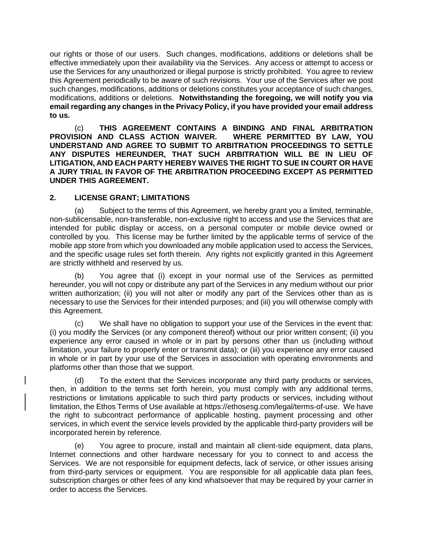our rights or those of our users. Such changes, modifications, additions or deletions shall be effective immediately upon their availability via the Services. Any access or attempt to access or use the Services for any unauthorized or illegal purpose is strictly prohibited. You agree to review this Agreement periodically to be aware of such revisions. Your use of the Services after we post such changes, modifications, additions or deletions constitutes your acceptance of such changes, modifications, additions or deletions. **Notwithstanding the foregoing, we will notify you via email regarding any changes in the Privacy Policy, if you have provided your email address to us.**

(c) **THIS AGREEMENT CONTAINS A BINDING AND FINAL ARBITRATION PROVISION AND CLASS ACTION WAIVER. WHERE PERMITTED BY LAW, YOU UNDERSTAND AND AGREE TO SUBMIT TO ARBITRATION PROCEEDINGS TO SETTLE ANY DISPUTES HEREUNDER, THAT SUCH ARBITRATION WILL BE IN LIEU OF LITIGATION, AND EACH PARTY HEREBY WAIVES THE RIGHT TO SUE IN COURT OR HAVE A JURY TRIAL IN FAVOR OF THE ARBITRATION PROCEEDING EXCEPT AS PERMITTED UNDER THIS AGREEMENT.**

### **2. LICENSE GRANT; LIMITATIONS**

(a) Subject to the terms of this Agreement, we hereby grant you a limited, terminable, non-sublicensable, non-transferable, non-exclusive right to access and use the Services that are intended for public display or access, on a personal computer or mobile device owned or controlled by you. This license may be further limited by the applicable terms of service of the mobile app store from which you downloaded any mobile application used to access the Services, and the specific usage rules set forth therein. Any rights not explicitly granted in this Agreement are strictly withheld and reserved by us.

(b) You agree that (i) except in your normal use of the Services as permitted hereunder, you will not copy or distribute any part of the Services in any medium without our prior written authorization; (ii) you will not alter or modify any part of the Services other than as is necessary to use the Services for their intended purposes; and (iii) you will otherwise comply with this Agreement.

(c) We shall have no obligation to support your use of the Services in the event that: (i) you modify the Services (or any component thereof) without our prior written consent; (ii) you experience any error caused in whole or in part by persons other than us (including without limitation, your failure to properly enter or transmit data); or (iii) you experience any error caused in whole or in part by your use of the Services in association with operating environments and platforms other than those that we support.

(d) To the extent that the Services incorporate any third party products or services, then, in addition to the terms set forth herein, you must comply with any additional terms, restrictions or limitations applicable to such third party products or services, including without limitation, the Ethos Terms of Use available at https://ethosesg.com/legal/terms-of-use. We have the right to subcontract performance of applicable hosting, payment processing and other services, in which event the service levels provided by the applicable third-party providers will be incorporated herein by reference.

(e) You agree to procure, install and maintain all client-side equipment, data plans, Internet connections and other hardware necessary for you to connect to and access the Services. We are not responsible for equipment defects, lack of service, or other issues arising from third-party services or equipment. You are responsible for all applicable data plan fees, subscription charges or other fees of any kind whatsoever that may be required by your carrier in order to access the Services.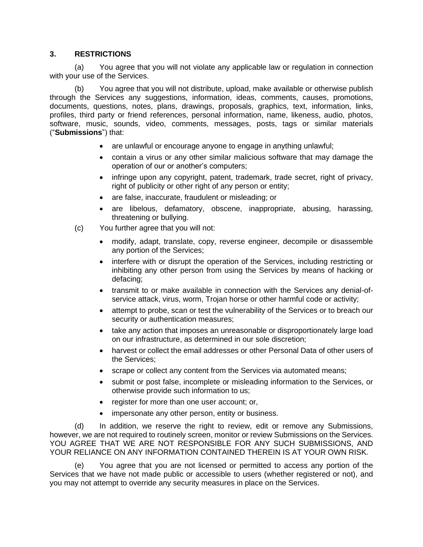### **3. RESTRICTIONS**

(a) You agree that you will not violate any applicable law or regulation in connection with your use of the Services.

(b) You agree that you will not distribute, upload, make available or otherwise publish through the Services any suggestions, information, ideas, comments, causes, promotions, documents, questions, notes, plans, drawings, proposals, graphics, text, information, links, profiles, third party or friend references, personal information, name, likeness, audio, photos, software, music, sounds, video, comments, messages, posts, tags or similar materials ("**Submissions**") that:

- are unlawful or encourage anyone to engage in anything unlawful;
- contain a virus or any other similar malicious software that may damage the operation of our or another's computers;
- infringe upon any copyright, patent, trademark, trade secret, right of privacy, right of publicity or other right of any person or entity;
- are false, inaccurate, fraudulent or misleading; or
- are libelous, defamatory, obscene, inappropriate, abusing, harassing, threatening or bullying.
- (c) You further agree that you will not:
	- modify, adapt, translate, copy, reverse engineer, decompile or disassemble any portion of the Services;
	- interfere with or disrupt the operation of the Services, including restricting or inhibiting any other person from using the Services by means of hacking or defacing;
	- transmit to or make available in connection with the Services any denial-ofservice attack, virus, worm, Trojan horse or other harmful code or activity;
	- attempt to probe, scan or test the vulnerability of the Services or to breach our security or authentication measures;
	- take any action that imposes an unreasonable or disproportionately large load on our infrastructure, as determined in our sole discretion;
	- harvest or collect the email addresses or other Personal Data of other users of the Services;
	- scrape or collect any content from the Services via automated means;
	- submit or post false, incomplete or misleading information to the Services, or otherwise provide such information to us;
	- register for more than one user account; or,
	- impersonate any other person, entity or business.

(d) In addition, we reserve the right to review, edit or remove any Submissions, however, we are not required to routinely screen, monitor or review Submissions on the Services. YOU AGREE THAT WE ARE NOT RESPONSIBLE FOR ANY SUCH SUBMISSIONS, AND YOUR RELIANCE ON ANY INFORMATION CONTAINED THEREIN IS AT YOUR OWN RISK.

(e) You agree that you are not licensed or permitted to access any portion of the Services that we have not made public or accessible to users (whether registered or not), and you may not attempt to override any security measures in place on the Services.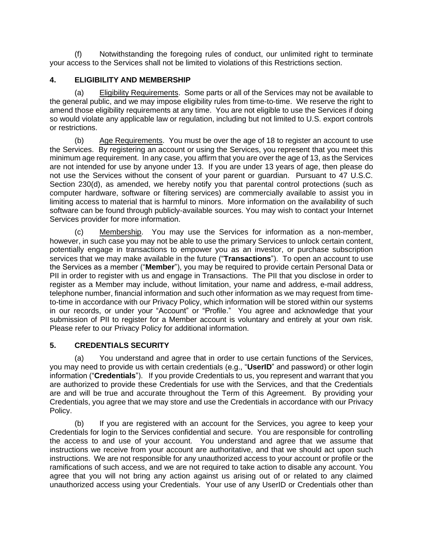(f) Notwithstanding the foregoing rules of conduct, our unlimited right to terminate your access to the Services shall not be limited to violations of this Restrictions section.

## **4. ELIGIBILITY AND MEMBERSHIP**

(a) Eligibility Requirements. Some parts or all of the Services may not be available to the general public, and we may impose eligibility rules from time-to-time. We reserve the right to amend those eligibility requirements at any time. You are not eligible to use the Services if doing so would violate any applicable law or regulation, including but not limited to U.S. export controls or restrictions.

(b) Age Requirements. You must be over the age of 18 to register an account to use the Services. By registering an account or using the Services, you represent that you meet this minimum age requirement. In any case, you affirm that you are over the age of 13, as the Services are not intended for use by anyone under 13. If you are under 13 years of age, then please do not use the Services without the consent of your parent or guardian. Pursuant to 47 U.S.C. Section 230(d), as amended, we hereby notify you that parental control protections (such as computer hardware, software or filtering services) are commercially available to assist you in limiting access to material that is harmful to minors. More information on the availability of such software can be found through publicly-available sources. You may wish to contact your Internet Services provider for more information.

(c) Membership. You may use the Services for information as a non-member, however, in such case you may not be able to use the primary Services to unlock certain content, potentially engage in transactions to empower you as an investor, or purchase subscription services that we may make available in the future ("**Transactions**"). To open an account to use the Services as a member ("**Member**"), you may be required to provide certain Personal Data or PII in order to register with us and engage in Transactions. The PII that you disclose in order to register as a Member may include, without limitation, your name and address, e-mail address, telephone number, financial information and such other information as we may request from timeto-time in accordance with our Privacy Policy, which information will be stored within our systems in our records, or under your "Account" or "Profile." You agree and acknowledge that your submission of PII to register for a Member account is voluntary and entirely at your own risk. Please refer to our Privacy Policy for additional information.

# **5. CREDENTIALS SECURITY**

(a) You understand and agree that in order to use certain functions of the Services, you may need to provide us with certain credentials (e.g., "**UserID**" and password) or other login information ("**Credentials**"). If you provide Credentials to us, you represent and warrant that you are authorized to provide these Credentials for use with the Services, and that the Credentials are and will be true and accurate throughout the Term of this Agreement. By providing your Credentials, you agree that we may store and use the Credentials in accordance with our Privacy Policy.

(b) If you are registered with an account for the Services, you agree to keep your Credentials for login to the Services confidential and secure. You are responsible for controlling the access to and use of your account. You understand and agree that we assume that instructions we receive from your account are authoritative, and that we should act upon such instructions. We are not responsible for any unauthorized access to your account or profile or the ramifications of such access, and we are not required to take action to disable any account. You agree that you will not bring any action against us arising out of or related to any claimed unauthorized access using your Credentials. Your use of any UserID or Credentials other than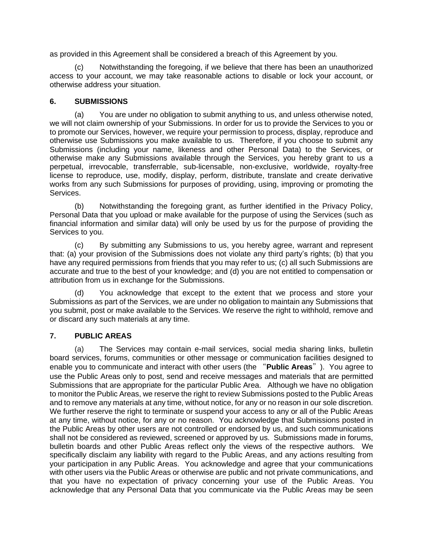as provided in this Agreement shall be considered a breach of this Agreement by you.

(c) Notwithstanding the foregoing, if we believe that there has been an unauthorized access to your account, we may take reasonable actions to disable or lock your account, or otherwise address your situation.

### **6. SUBMISSIONS**

(a) You are under no obligation to submit anything to us, and unless otherwise noted, we will not claim ownership of your Submissions. In order for us to provide the Services to you or to promote our Services, however, we require your permission to process, display, reproduce and otherwise use Submissions you make available to us. Therefore, if you choose to submit any Submissions (including your name, likeness and other Personal Data) to the Services, or otherwise make any Submissions available through the Services, you hereby grant to us a perpetual, irrevocable, transferrable, sub-licensable, non-exclusive, worldwide, royalty-free license to reproduce, use, modify, display, perform, distribute, translate and create derivative works from any such Submissions for purposes of providing, using, improving or promoting the Services.

(b) Notwithstanding the foregoing grant, as further identified in the Privacy Policy, Personal Data that you upload or make available for the purpose of using the Services (such as financial information and similar data) will only be used by us for the purpose of providing the Services to you.

(c) By submitting any Submissions to us, you hereby agree, warrant and represent that: (a) your provision of the Submissions does not violate any third party's rights; (b) that you have any required permissions from friends that you may refer to us; (c) all such Submissions are accurate and true to the best of your knowledge; and (d) you are not entitled to compensation or attribution from us in exchange for the Submissions.

(d) You acknowledge that except to the extent that we process and store your Submissions as part of the Services, we are under no obligation to maintain any Submissions that you submit, post or make available to the Services. We reserve the right to withhold, remove and or discard any such materials at any time.

### **7. PUBLIC AREAS**

(a) The Services may contain e-mail services, social media sharing links, bulletin board services, forums, communities or other message or communication facilities designed to enable you to communicate and interact with other users (the "**Public Areas**"). You agree to use the Public Areas only to post, send and receive messages and materials that are permitted Submissions that are appropriate for the particular Public Area. Although we have no obligation to monitor the Public Areas, we reserve the right to review Submissions posted to the Public Areas and to remove any materials at any time, without notice, for any or no reason in our sole discretion. We further reserve the right to terminate or suspend your access to any or all of the Public Areas at any time, without notice, for any or no reason. You acknowledge that Submissions posted in the Public Areas by other users are not controlled or endorsed by us, and such communications shall not be considered as reviewed, screened or approved by us. Submissions made in forums, bulletin boards and other Public Areas reflect only the views of the respective authors. We specifically disclaim any liability with regard to the Public Areas, and any actions resulting from your participation in any Public Areas. You acknowledge and agree that your communications with other users via the Public Areas or otherwise are public and not private communications, and that you have no expectation of privacy concerning your use of the Public Areas. You acknowledge that any Personal Data that you communicate via the Public Areas may be seen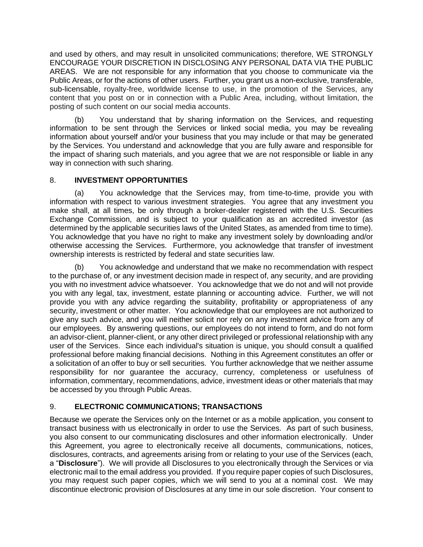and used by others, and may result in unsolicited communications; therefore, WE STRONGLY ENCOURAGE YOUR DISCRETION IN DISCLOSING ANY PERSONAL DATA VIA THE PUBLIC AREAS. We are not responsible for any information that you choose to communicate via the Public Areas, or for the actions of other users. Further, you grant us a non-exclusive, transferable, sub-licensable, royalty-free, worldwide license to use, in the promotion of the Services, any content that you post on or in connection with a Public Area, including, without limitation, the posting of such content on our social media accounts.

(b) You understand that by sharing information on the Services, and requesting information to be sent through the Services or linked social media, you may be revealing information about yourself and/or your business that you may include or that may be generated by the Services. You understand and acknowledge that you are fully aware and responsible for the impact of sharing such materials, and you agree that we are not responsible or liable in any way in connection with such sharing.

# 8. **INVESTMENT OPPORTUNITIES**

(a) You acknowledge that the Services may, from time-to-time, provide you with information with respect to various investment strategies. You agree that any investment you make shall, at all times, be only through a broker-dealer registered with the U.S. Securities Exchange Commission, and is subject to your qualification as an accredited investor (as determined by the applicable securities laws of the United States, as amended from time to time). You acknowledge that you have no right to make any investment solely by downloading and/or otherwise accessing the Services. Furthermore, you acknowledge that transfer of investment ownership interests is restricted by federal and state securities law.

(b) You acknowledge and understand that we make no recommendation with respect to the purchase of, or any investment decision made in respect of, any security, and are providing you with no investment advice whatsoever. You acknowledge that we do not and will not provide you with any legal, tax, investment, estate planning or accounting advice. Further, we will not provide you with any advice regarding the suitability, profitability or appropriateness of any security, investment or other matter. You acknowledge that our employees are not authorized to give any such advice, and you will neither solicit nor rely on any investment advice from any of our employees. By answering questions, our employees do not intend to form, and do not form an advisor-client, planner-client, or any other direct privileged or professional relationship with any user of the Services. Since each individual's situation is unique, you should consult a qualified professional before making financial decisions. Nothing in this Agreement constitutes an offer or a solicitation of an offer to buy or sell securities. You further acknowledge that we neither assume responsibility for nor guarantee the accuracy, currency, completeness or usefulness of information, commentary, recommendations, advice, investment ideas or other materials that may be accessed by you through Public Areas.

# 9. **ELECTRONIC COMMUNICATIONS; TRANSACTIONS**

Because we operate the Services only on the Internet or as a mobile application, you consent to transact business with us electronically in order to use the Services. As part of such business, you also consent to our communicating disclosures and other information electronically. Under this Agreement, you agree to electronically receive all documents, communications, notices, disclosures, contracts, and agreements arising from or relating to your use of the Services (each, a "**Disclosure**"). We will provide all Disclosures to you electronically through the Services or via electronic mail to the email address you provided. If you require paper copies of such Disclosures, you may request such paper copies, which we will send to you at a nominal cost. We may discontinue electronic provision of Disclosures at any time in our sole discretion. Your consent to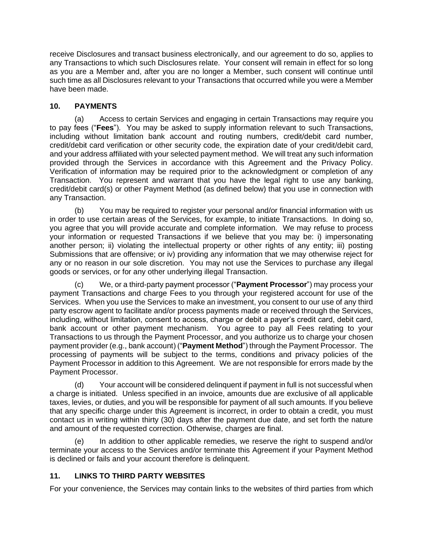receive Disclosures and transact business electronically, and our agreement to do so, applies to any Transactions to which such Disclosures relate. Your consent will remain in effect for so long as you are a Member and, after you are no longer a Member, such consent will continue until such time as all Disclosures relevant to your Transactions that occurred while you were a Member have been made.

# **10. PAYMENTS**

(a) Access to certain Services and engaging in certain Transactions may require you to pay fees ("**Fees**"). You may be asked to supply information relevant to such Transactions, including without limitation bank account and routing numbers, credit/debit card number, credit/debit card verification or other security code, the expiration date of your credit/debit card, and your address affiliated with your selected payment method. We will treat any such information provided through the Services in accordance with this Agreement and the Privacy Policy. Verification of information may be required prior to the acknowledgment or completion of any Transaction. You represent and warrant that you have the legal right to use any banking, credit/debit card(s) or other Payment Method (as defined below) that you use in connection with any Transaction.

(b) You may be required to register your personal and/or financial information with us in order to use certain areas of the Services, for example, to initiate Transactions. In doing so, you agree that you will provide accurate and complete information. We may refuse to process your information or requested Transactions if we believe that you may be: i) impersonating another person; ii) violating the intellectual property or other rights of any entity; iii) posting Submissions that are offensive; or iv) providing any information that we may otherwise reject for any or no reason in our sole discretion. You may not use the Services to purchase any illegal goods or services, or for any other underlying illegal Transaction.

(c) We, or a third-party payment processor ("**Payment Processor**") may process your payment Transactions and charge Fees to you through your registered account for use of the Services. When you use the Services to make an investment, you consent to our use of any third party escrow agent to facilitate and/or process payments made or received through the Services, including, without limitation, consent to access, charge or debit a payer's credit card, debit card, bank account or other payment mechanism. You agree to pay all Fees relating to your Transactions to us through the Payment Processor, and you authorize us to charge your chosen payment provider (e.g., bank account) ("**Payment Method**") through the Payment Processor. The processing of payments will be subject to the terms, conditions and privacy policies of the Payment Processor in addition to this Agreement. We are not responsible for errors made by the Payment Processor.

(d) Your account will be considered delinquent if payment in full is not successful when a charge is initiated. Unless specified in an invoice, amounts due are exclusive of all applicable taxes, levies, or duties, and you will be responsible for payment of all such amounts. If you believe that any specific charge under this Agreement is incorrect, in order to obtain a credit, you must contact us in writing within thirty (30) days after the payment due date, and set forth the nature and amount of the requested correction. Otherwise, charges are final.

(e) In addition to other applicable remedies, we reserve the right to suspend and/or terminate your access to the Services and/or terminate this Agreement if your Payment Method is declined or fails and your account therefore is delinquent.

# **11. LINKS TO THIRD PARTY WEBSITES**

For your convenience, the Services may contain links to the websites of third parties from which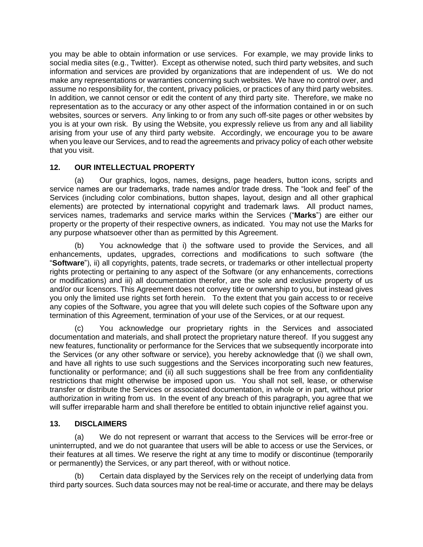you may be able to obtain information or use services. For example, we may provide links to social media sites (e.g., Twitter). Except as otherwise noted, such third party websites, and such information and services are provided by organizations that are independent of us. We do not make any representations or warranties concerning such websites. We have no control over, and assume no responsibility for, the content, privacy policies, or practices of any third party websites. In addition, we cannot censor or edit the content of any third party site. Therefore, we make no representation as to the accuracy or any other aspect of the information contained in or on such websites, sources or servers. Any linking to or from any such off-site pages or other websites by you is at your own risk. By using the Website, you expressly relieve us from any and all liability arising from your use of any third party website. Accordingly, we encourage you to be aware when you leave our Services, and to read the agreements and privacy policy of each other website that you visit.

# **12. OUR INTELLECTUAL PROPERTY**

(a) Our graphics, logos, names, designs, page headers, button icons, scripts and service names are our trademarks, trade names and/or trade dress. The "look and feel" of the Services (including color combinations, button shapes, layout, design and all other graphical elements) are protected by international copyright and trademark laws. All product names, services names, trademarks and service marks within the Services ("**Marks**") are either our property or the property of their respective owners, as indicated. You may not use the Marks for any purpose whatsoever other than as permitted by this Agreement.

(b) You acknowledge that i) the software used to provide the Services, and all enhancements, updates, upgrades, corrections and modifications to such software (the "**Software**"), ii) all copyrights, patents, trade secrets, or trademarks or other intellectual property rights protecting or pertaining to any aspect of the Software (or any enhancements, corrections or modifications) and iii) all documentation therefor, are the sole and exclusive property of us and/or our licensors. This Agreement does not convey title or ownership to you, but instead gives you only the limited use rights set forth herein. To the extent that you gain access to or receive any copies of the Software, you agree that you will delete such copies of the Software upon any termination of this Agreement, termination of your use of the Services, or at our request.

(c) You acknowledge our proprietary rights in the Services and associated documentation and materials, and shall protect the proprietary nature thereof. If you suggest any new features, functionality or performance for the Services that we subsequently incorporate into the Services (or any other software or service), you hereby acknowledge that (i) we shall own, and have all rights to use such suggestions and the Services incorporating such new features, functionality or performance; and (ii) all such suggestions shall be free from any confidentiality restrictions that might otherwise be imposed upon us. You shall not sell, lease, or otherwise transfer or distribute the Services or associated documentation, in whole or in part, without prior authorization in writing from us. In the event of any breach of this paragraph, you agree that we will suffer irreparable harm and shall therefore be entitled to obtain injunctive relief against you.

# **13. DISCLAIMERS**

(a) We do not represent or warrant that access to the Services will be error-free or uninterrupted, and we do not guarantee that users will be able to access or use the Services, or their features at all times. We reserve the right at any time to modify or discontinue (temporarily or permanently) the Services, or any part thereof, with or without notice.

(b) Certain data displayed by the Services rely on the receipt of underlying data from third party sources. Such data sources may not be real-time or accurate, and there may be delays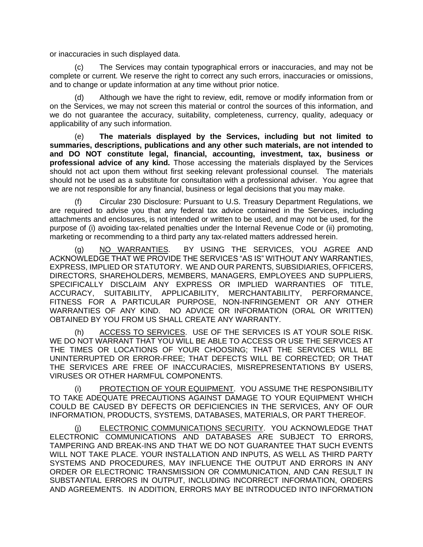or inaccuracies in such displayed data.

The Services may contain typographical errors or inaccuracies, and may not be complete or current. We reserve the right to correct any such errors, inaccuracies or omissions, and to change or update information at any time without prior notice.

(d) Although we have the right to review, edit, remove or modify information from or on the Services, we may not screen this material or control the sources of this information, and we do not guarantee the accuracy, suitability, completeness, currency, quality, adequacy or applicability of any such information.

(e) **The materials displayed by the Services, including but not limited to summaries, descriptions, publications and any other such materials, are not intended to and DO NOT constitute legal, financial, accounting, investment, tax, business or professional advice of any kind.** Those accessing the materials displayed by the Services should not act upon them without first seeking relevant professional counsel. The materials should not be used as a substitute for consultation with a professional adviser. You agree that we are not responsible for any financial, business or legal decisions that you may make.

(f) Circular 230 Disclosure: Pursuant to U.S. Treasury Department Regulations, we are required to advise you that any federal tax advice contained in the Services, including attachments and enclosures, is not intended or written to be used, and may not be used, for the purpose of (i) avoiding tax-related penalties under the Internal Revenue Code or (ii) promoting, marketing or recommending to a third party any tax-related matters addressed herein.

(g) NO WARRANTIES. BY USING THE SERVICES, YOU AGREE AND ACKNOWLEDGE THAT WE PROVIDE THE SERVICES "AS IS" WITHOUT ANY WARRANTIES, EXPRESS, IMPLIED OR STATUTORY. WE AND OUR PARENTS, SUBSIDIARIES, OFFICERS, DIRECTORS, SHAREHOLDERS, MEMBERS, MANAGERS, EMPLOYEES AND SUPPLIERS, SPECIFICALLY DISCLAIM ANY EXPRESS OR IMPLIED WARRANTIES OF TITLE, ACCURACY, SUITABILITY, APPLICABILITY, MERCHANTABILITY, PERFORMANCE, FITNESS FOR A PARTICULAR PURPOSE, NON-INFRINGEMENT OR ANY OTHER WARRANTIES OF ANY KIND. NO ADVICE OR INFORMATION (ORAL OR WRITTEN) OBTAINED BY YOU FROM US SHALL CREATE ANY WARRANTY.

(h) ACCESS TO SERVICES. USE OF THE SERVICES IS AT YOUR SOLE RISK. WE DO NOT WARRANT THAT YOU WILL BE ABLE TO ACCESS OR USE THE SERVICES AT THE TIMES OR LOCATIONS OF YOUR CHOOSING; THAT THE SERVICES WILL BE UNINTERRUPTED OR ERROR-FREE; THAT DEFECTS WILL BE CORRECTED; OR THAT THE SERVICES ARE FREE OF INACCURACIES, MISREPRESENTATIONS BY USERS, VIRUSES OR OTHER HARMFUL COMPONENTS.

PROTECTION OF YOUR EQUIPMENT. YOU ASSUME THE RESPONSIBILITY TO TAKE ADEQUATE PRECAUTIONS AGAINST DAMAGE TO YOUR EQUIPMENT WHICH COULD BE CAUSED BY DEFECTS OR DEFICIENCIES IN THE SERVICES, ANY OF OUR INFORMATION, PRODUCTS, SYSTEMS, DATABASES, MATERIALS, OR PART THEREOF.

(j) ELECTRONIC COMMUNICATIONS SECURITY. YOU ACKNOWLEDGE THAT ELECTRONIC COMMUNICATIONS AND DATABASES ARE SUBJECT TO ERRORS, TAMPERING AND BREAK-INS AND THAT WE DO NOT GUARANTEE THAT SUCH EVENTS WILL NOT TAKE PLACE. YOUR INSTALLATION AND INPUTS, AS WELL AS THIRD PARTY SYSTEMS AND PROCEDURES, MAY INFLUENCE THE OUTPUT AND ERRORS IN ANY ORDER OR ELECTRONIC TRANSMISSION OR COMMUNICATION, AND CAN RESULT IN SUBSTANTIAL ERRORS IN OUTPUT, INCLUDING INCORRECT INFORMATION, ORDERS AND AGREEMENTS. IN ADDITION, ERRORS MAY BE INTRODUCED INTO INFORMATION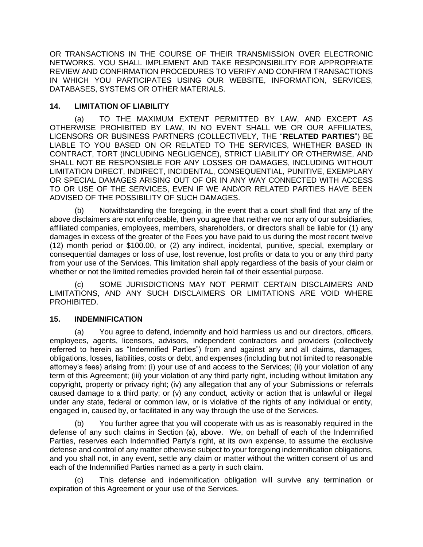OR TRANSACTIONS IN THE COURSE OF THEIR TRANSMISSION OVER ELECTRONIC NETWORKS. YOU SHALL IMPLEMENT AND TAKE RESPONSIBILITY FOR APPROPRIATE REVIEW AND CONFIRMATION PROCEDURES TO VERIFY AND CONFIRM TRANSACTIONS IN WHICH YOU PARTICIPATES USING OUR WEBSITE, INFORMATION, SERVICES, DATABASES, SYSTEMS OR OTHER MATERIALS.

## **14. LIMITATION OF LIABILITY**

(a) TO THE MAXIMUM EXTENT PERMITTED BY LAW, AND EXCEPT AS OTHERWISE PROHIBITED BY LAW, IN NO EVENT SHALL WE OR OUR AFFILIATES, LICENSORS OR BUSINESS PARTNERS (COLLECTIVELY, THE "**RELATED PARTIES**") BE LIABLE TO YOU BASED ON OR RELATED TO THE SERVICES, WHETHER BASED IN CONTRACT, TORT (INCLUDING NEGLIGENCE), STRICT LIABILITY OR OTHERWISE, AND SHALL NOT BE RESPONSIBLE FOR ANY LOSSES OR DAMAGES, INCLUDING WITHOUT LIMITATION DIRECT, INDIRECT, INCIDENTAL, CONSEQUENTIAL, PUNITIVE, EXEMPLARY OR SPECIAL DAMAGES ARISING OUT OF OR IN ANY WAY CONNECTED WITH ACCESS TO OR USE OF THE SERVICES, EVEN IF WE AND/OR RELATED PARTIES HAVE BEEN ADVISED OF THE POSSIBILITY OF SUCH DAMAGES.

(b) Notwithstanding the foregoing, in the event that a court shall find that any of the above disclaimers are not enforceable, then you agree that neither we nor any of our subsidiaries, affiliated companies, employees, members, shareholders, or directors shall be liable for (1) any damages in excess of the greater of the Fees you have paid to us during the most recent twelve (12) month period or \$100.00, or (2) any indirect, incidental, punitive, special, exemplary or consequential damages or loss of use, lost revenue, lost profits or data to you or any third party from your use of the Services. This limitation shall apply regardless of the basis of your claim or whether or not the limited remedies provided herein fail of their essential purpose.

(c) SOME JURISDICTIONS MAY NOT PERMIT CERTAIN DISCLAIMERS AND LIMITATIONS, AND ANY SUCH DISCLAIMERS OR LIMITATIONS ARE VOID WHERE PROHIBITED.

# **15. INDEMNIFICATION**

(a) You agree to defend, indemnify and hold harmless us and our directors, officers, employees, agents, licensors, advisors, independent contractors and providers (collectively referred to herein as "Indemnified Parties") from and against any and all claims, damages, obligations, losses, liabilities, costs or debt, and expenses (including but not limited to reasonable attorney's fees) arising from: (i) your use of and access to the Services; (ii) your violation of any term of this Agreement; (iii) your violation of any third party right, including without limitation any copyright, property or privacy right; (iv) any allegation that any of your Submissions or referrals caused damage to a third party; or (v) any conduct, activity or action that is unlawful or illegal under any state, federal or common law, or is violative of the rights of any individual or entity, engaged in, caused by, or facilitated in any way through the use of the Services.

(b) You further agree that you will cooperate with us as is reasonably required in the defense of any such claims in Section (a), above. We, on behalf of each of the Indemnified Parties, reserves each Indemnified Party's right, at its own expense, to assume the exclusive defense and control of any matter otherwise subject to your foregoing indemnification obligations, and you shall not, in any event, settle any claim or matter without the written consent of us and each of the Indemnified Parties named as a party in such claim.

(c) This defense and indemnification obligation will survive any termination or expiration of this Agreement or your use of the Services.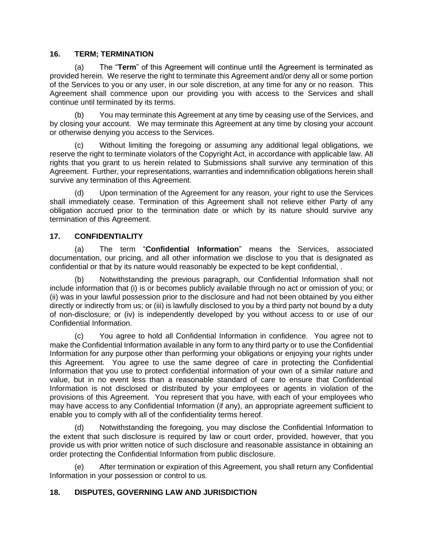### **16. TERM; TERMINATION**

(a) The "**Term**" of this Agreement will continue until the Agreement is terminated as provided herein. We reserve the right to terminate this Agreement and/or deny all or some portion of the Services to you or any user, in our sole discretion, at any time for any or no reason. This Agreement shall commence upon our providing you with access to the Services and shall continue until terminated by its terms.

You may terminate this Agreement at any time by ceasing use of the Services, and by closing your account. We may terminate this Agreement at any time by closing your account or otherwise denying you access to the Services.

(c) Without limiting the foregoing or assuming any additional legal obligations, we reserve the right to terminate violators of the Copyright Act, in accordance with applicable law. All rights that you grant to us herein related to Submissions shall survive any termination of this Agreement. Further, your representations, warranties and indemnification obligations herein shall survive any termination of this Agreement.

(d) Upon termination of the Agreement for any reason, your right to use the Services shall immediately cease. Termination of this Agreement shall not relieve either Party of any obligation accrued prior to the termination date or which by its nature should survive any termination of this Agreement.

### **17. CONFIDENTIALITY**

(a) The term "**Confidential Information**" means the Services, associated documentation, our pricing, and all other information we disclose to you that is designated as confidential or that by its nature would reasonably be expected to be kept confidential, .

(b) Notwithstanding the previous paragraph, our Confidential Information shall not include information that (i) is or becomes publicly available through no act or omission of you; or (ii) was in your lawful possession prior to the disclosure and had not been obtained by you either directly or indirectly from us; or (iii) is lawfully disclosed to you by a third party not bound by a duty of non-disclosure; or (iv) is independently developed by you without access to or use of our Confidential Information.

(c) You agree to hold all Confidential Information in confidence. You agree not to make the Confidential Information available in any form to any third party or to use the Confidential Information for any purpose other than performing your obligations or enjoying your rights under this Agreement. You agree to use the same degree of care in protecting the Confidential Information that you use to protect confidential information of your own of a similar nature and value, but in no event less than a reasonable standard of care to ensure that Confidential Information is not disclosed or distributed by your employees or agents in violation of the provisions of this Agreement. You represent that you have, with each of your employees who may have access to any Confidential Information (if any), an appropriate agreement sufficient to enable you to comply with all of the confidentiality terms hereof.

(d) Notwithstanding the foregoing, you may disclose the Confidential Information to the extent that such disclosure is required by law or court order, provided, however, that you provide us with prior written notice of such disclosure and reasonable assistance in obtaining an order protecting the Confidential Information from public disclosure.

(e) After termination or expiration of this Agreement, you shall return any Confidential Information in your possession or control to us.

### **18. DISPUTES, GOVERNING LAW AND JURISDICTION**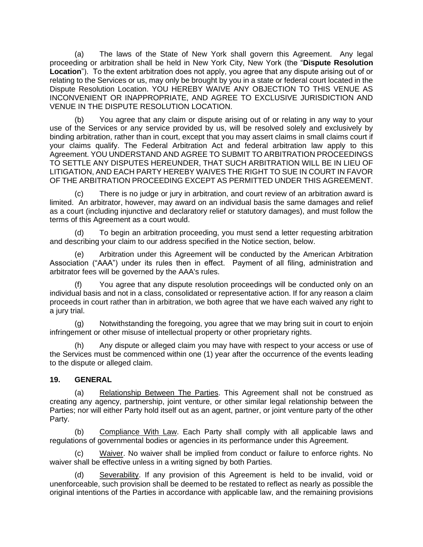(a) The laws of the State of New York shall govern this Agreement. Any legal proceeding or arbitration shall be held in New York City, New York (the "**Dispute Resolution Location**"). To the extent arbitration does not apply, you agree that any dispute arising out of or relating to the Services or us, may only be brought by you in a state or federal court located in the Dispute Resolution Location. YOU HEREBY WAIVE ANY OBJECTION TO THIS VENUE AS INCONVENIENT OR INAPPROPRIATE, AND AGREE TO EXCLUSIVE JURISDICTION AND VENUE IN THE DISPUTE RESOLUTION LOCATION.

(b) You agree that any claim or dispute arising out of or relating in any way to your use of the Services or any service provided by us, will be resolved solely and exclusively by binding arbitration, rather than in court, except that you may assert claims in small claims court if your claims qualify. The Federal Arbitration Act and federal arbitration law apply to this Agreement. YOU UNDERSTAND AND AGREE TO SUBMIT TO ARBITRATION PROCEEDINGS TO SETTLE ANY DISPUTES HEREUNDER, THAT SUCH ARBITRATION WILL BE IN LIEU OF LITIGATION, AND EACH PARTY HEREBY WAIVES THE RIGHT TO SUE IN COURT IN FAVOR OF THE ARBITRATION PROCEEDING EXCEPT AS PERMITTED UNDER THIS AGREEMENT.

(c) There is no judge or jury in arbitration, and court review of an arbitration award is limited. An arbitrator, however, may award on an individual basis the same damages and relief as a court (including injunctive and declaratory relief or statutory damages), and must follow the terms of this Agreement as a court would.

(d) To begin an arbitration proceeding, you must send a letter requesting arbitration and describing your claim to our address specified in the Notice section, below.

(e) Arbitration under this Agreement will be conducted by the American Arbitration Association ("AAA") under its rules then in effect. Payment of all filing, administration and arbitrator fees will be governed by the AAA's rules.

(f) You agree that any dispute resolution proceedings will be conducted only on an individual basis and not in a class, consolidated or representative action. If for any reason a claim proceeds in court rather than in arbitration, we both agree that we have each waived any right to a jury trial.

(g) Notwithstanding the foregoing, you agree that we may bring suit in court to enjoin infringement or other misuse of intellectual property or other proprietary rights.

(h) Any dispute or alleged claim you may have with respect to your access or use of the Services must be commenced within one (1) year after the occurrence of the events leading to the dispute or alleged claim.

### **19. GENERAL**

(a) Relationship Between The Parties. This Agreement shall not be construed as creating any agency, partnership, joint venture, or other similar legal relationship between the Parties; nor will either Party hold itself out as an agent, partner, or joint venture party of the other Party.

(b) Compliance With Law. Each Party shall comply with all applicable laws and regulations of governmental bodies or agencies in its performance under this Agreement.

(c) Waiver. No waiver shall be implied from conduct or failure to enforce rights. No waiver shall be effective unless in a writing signed by both Parties.

(d) Severability. If any provision of this Agreement is held to be invalid, void or unenforceable, such provision shall be deemed to be restated to reflect as nearly as possible the original intentions of the Parties in accordance with applicable law, and the remaining provisions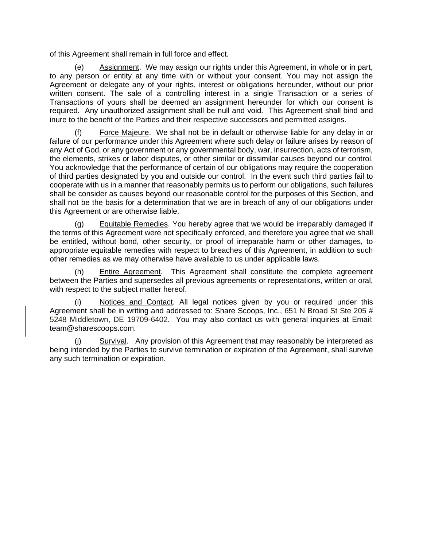of this Agreement shall remain in full force and effect.

Assignment. We may assign our rights under this Agreement, in whole or in part, to any person or entity at any time with or without your consent. You may not assign the Agreement or delegate any of your rights, interest or obligations hereunder, without our prior written consent. The sale of a controlling interest in a single Transaction or a series of Transactions of yours shall be deemed an assignment hereunder for which our consent is required. Any unauthorized assignment shall be null and void. This Agreement shall bind and inure to the benefit of the Parties and their respective successors and permitted assigns.

(f) Force Majeure. We shall not be in default or otherwise liable for any delay in or failure of our performance under this Agreement where such delay or failure arises by reason of any Act of God, or any government or any governmental body, war, insurrection, acts of terrorism, the elements, strikes or labor disputes, or other similar or dissimilar causes beyond our control. You acknowledge that the performance of certain of our obligations may require the cooperation of third parties designated by you and outside our control. In the event such third parties fail to cooperate with us in a manner that reasonably permits us to perform our obligations, such failures shall be consider as causes beyond our reasonable control for the purposes of this Section, and shall not be the basis for a determination that we are in breach of any of our obligations under this Agreement or are otherwise liable.

(g) Equitable Remedies. You hereby agree that we would be irreparably damaged if the terms of this Agreement were not specifically enforced, and therefore you agree that we shall be entitled, without bond, other security, or proof of irreparable harm or other damages, to appropriate equitable remedies with respect to breaches of this Agreement, in addition to such other remedies as we may otherwise have available to us under applicable laws.

(h) Entire Agreement. This Agreement shall constitute the complete agreement between the Parties and supersedes all previous agreements or representations, written or oral, with respect to the subject matter hereof.

Notices and Contact. All legal notices given by you or required under this Agreement shall be in writing and addressed to: Share Scoops, Inc., 651 N Broad St Ste 205 # 5248 Middletown, DE 19709-6402. You may also contact us with general inquiries at Email: team@sharescoops.com.

(j) Survival. Any provision of this Agreement that may reasonably be interpreted as being intended by the Parties to survive termination or expiration of the Agreement, shall survive any such termination or expiration.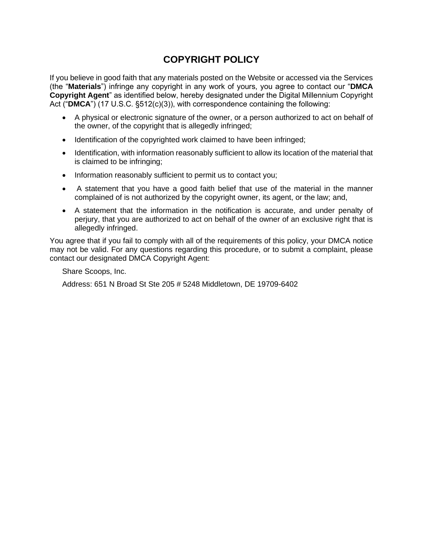# **COPYRIGHT POLICY**

If you believe in good faith that any materials posted on the Website or accessed via the Services (the "**Materials**") infringe any copyright in any work of yours, you agree to contact our "**DMCA Copyright Agent**" as identified below, hereby designated under the Digital Millennium Copyright Act ("DMCA") (17 U.S.C. §512(c)(3)), with correspondence containing the following:

- A physical or electronic signature of the owner, or a person authorized to act on behalf of the owner, of the copyright that is allegedly infringed;
- Identification of the copyrighted work claimed to have been infringed;
- Identification, with information reasonably sufficient to allow its location of the material that is claimed to be infringing;
- Information reasonably sufficient to permit us to contact you;
- A statement that you have a good faith belief that use of the material in the manner complained of is not authorized by the copyright owner, its agent, or the law; and,
- A statement that the information in the notification is accurate, and under penalty of perjury, that you are authorized to act on behalf of the owner of an exclusive right that is allegedly infringed.

You agree that if you fail to comply with all of the requirements of this policy, your DMCA notice may not be valid. For any questions regarding this procedure, or to submit a complaint, please contact our designated DMCA Copyright Agent:

Share Scoops, Inc.

Address: 651 N Broad St Ste 205 # 5248 Middletown, DE 19709-6402